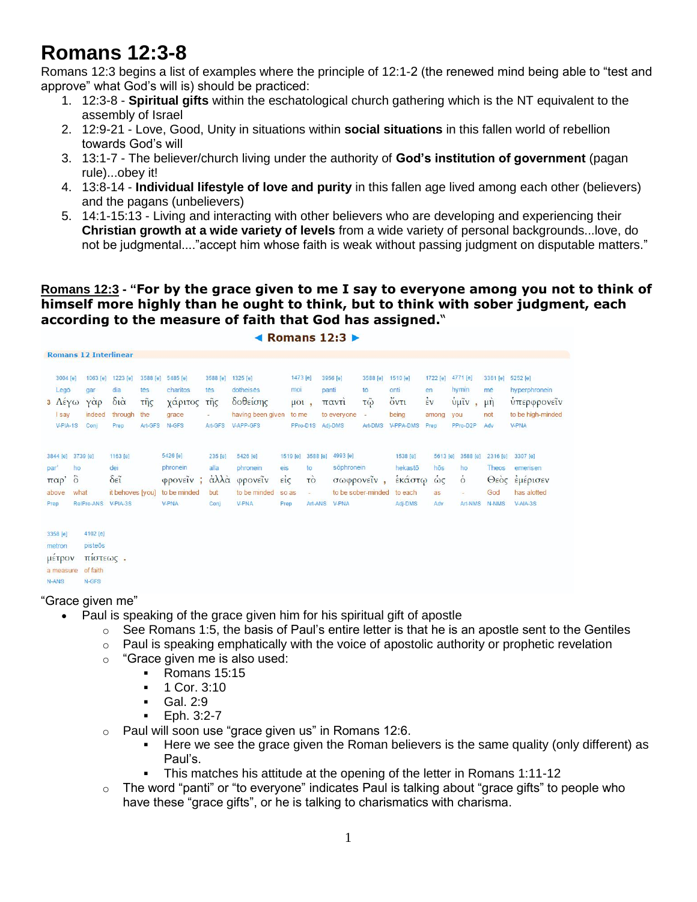# **Romans 12:3-8**

Romans 12:3 begins a list of examples where the principle of 12:1-2 (the renewed mind being able to "test and approve" what God's will is) should be practiced:

- 1. 12:3-8 **Spiritual gifts** within the eschatological church gathering which is the NT equivalent to the assembly of Israel
- 2. 12:9-21 Love, Good, Unity in situations within **social situations** in this fallen world of rebellion towards God's will
- 3. 13:1-7 The believer/church living under the authority of **God's institution of government** (pagan rule)...obey it!
- 4. 13:8-14 **Individual lifestyle of love and purity** in this fallen age lived among each other (believers) and the pagans (unbelievers)
- 5. 14:1-15:13 Living and interacting with other believers who are developing and experiencing their **Christian growth at a wide variety of levels** from a wide variety of personal backgrounds...love, do not be judgmental...."accept him whose faith is weak without passing judgment on disputable matters."

#### **Romans 12:3 - "For by the grace given to me I say to everyone among you not to think of himself more highly than he ought to think, but to think with sober judgment, each according to the measure of faith that God has assigned.**"

|                                                        | <b>Romans 12 Interlinear</b>                                             |                                                                  |                                          |                                                                                   |                                                               |                                                                     |                                                      |                                                   |                     |                                                      |                                                         |                                                     |                                                   |                                                                   |                                           |                                                                               |
|--------------------------------------------------------|--------------------------------------------------------------------------|------------------------------------------------------------------|------------------------------------------|-----------------------------------------------------------------------------------|---------------------------------------------------------------|---------------------------------------------------------------------|------------------------------------------------------|---------------------------------------------------|---------------------|------------------------------------------------------|---------------------------------------------------------|-----------------------------------------------------|---------------------------------------------------|-------------------------------------------------------------------|-------------------------------------------|-------------------------------------------------------------------------------|
| 3004 [e]<br>Legō<br>3 Λέγω<br><b>I</b> say<br>V-PIA-1S | 1063 [e]<br>gar<br>$\gamma \dot{\alpha} \rho$<br>indeed<br>Conj          | 1223 [e]<br>dia<br>$\delta i \dot{\alpha}$<br>through<br>Prep    | 3588 [e]<br>tēs<br>τῆς<br>the<br>Art-GFS | 5485 [e]<br>charitos<br>χάριτος<br>grace<br>N-GFS                                 | 3588 [e]<br>tēs<br>τῆς<br>$\overline{\phantom{a}}$<br>Art-GFS | 1325 [e]<br>dotheises<br>δοθείσης<br>having been given<br>V-APP-GFS |                                                      | 1473 [e]<br>moi<br>$\mu$ ol,<br>to me<br>PPro-D1S |                     | 3956 [e]<br>panti<br>παντί<br>to everyone<br>Adj-DMS | 3588 [e]<br>tō<br>$\tau \tilde{\omega}$<br>×<br>Art-DMS | 1510 [e]<br>onti<br>ὄντι<br>being<br>V-PPA-DMS      | 1722 [e]<br>en<br>$\frac{1}{2}v$<br>among<br>Prep | 4771 [e]<br>hymin<br>$ύμ$ ĩν<br>$\overline{ }$<br>you<br>PPro-D2P | 3361 [e]<br>mē<br>$\mu$ n<br>not<br>Adv   | 5252 [e]<br>hyperphronein<br>υπερφρονείν<br>to be high-minded<br><b>V-PNA</b> |
| par'<br>παρ'<br>above<br>Prep                          | 3844 [e] 3739 [e]<br>ho<br>$\ddot{\circ}$<br>what<br>RelPro-ANS V-PIA-3S | 1163 [e]<br>dei<br>$\delta \tilde{\epsilon}$<br>it behoves [you] |                                          | 5426 [e]<br>phronein<br>$\varphi$ <i>poveiv</i> ;<br>to be minded<br><b>V-PNA</b> | 235 [e]<br>alla<br>άλλα<br>but<br>Conj                        | 5426 [e]<br>phronein<br>φρονείν<br>to be minded<br>V-PNA            | 1519 [e]<br>eis<br>$\vec{\epsilon}$<br>so as<br>Prep | to<br>τò                                          | 3588 [e]<br>Art-ANS | 4993 [e]<br>sõphronein<br>σωφρονεΐν,<br>V-PNA        | to be sober-minded                                      | 1538 [e]<br>hekastō<br>έκάστω<br>to each<br>Adj-DMS | 5613 [e]<br>hōs<br>ώς<br>as<br>Adv                | 3588 [e]<br>ho<br>$\dot{\circ}$<br>Art-NMS                        | 2316 [e]<br>Theos<br>Θεός<br>God<br>N-NMS | 3307 [e]<br>emerisen<br>έμέρισεν<br>has alotted<br>V-AIA-3S                   |
| 3358 [e]<br>metron<br>μετρον<br>a measure              | 4102 [e]<br>pisteōs<br>πιστεως.<br>of faith                              |                                                                  |                                          |                                                                                   |                                                               |                                                                     |                                                      |                                                   |                     |                                                      |                                                         |                                                     |                                                   |                                                                   |                                           |                                                                               |

 $\triangleleft$  Romans 12:3

#### $N-ANS$ N-GES

#### "Grace given me"

- Paul is speaking of the grace given him for his spiritual gift of apostle
	- $\circ$  See Romans 1:5, the basis of Paul's entire letter is that he is an apostle sent to the Gentiles
	- $\circ$  Paul is speaking emphatically with the voice of apostolic authority or prophetic revelation
	- o "Grace given me is also used:
		- Romans 15:15
			- $-1$  Cor. 3:10
			- Gal. 2:9<br>Fob. 3:2
			- Eph. 3:2-7
	- $\circ$  Paul will soon use "grace given us" in Romans 12:6.
		- Here we see the grace given the Roman believers is the same quality (only different) as Paul's.
		- This matches his attitude at the opening of the letter in Romans 1:11-12
	- $\circ$  The word "panti" or "to everyone" indicates Paul is talking about "grace gifts" to people who have these "grace gifts", or he is talking to charismatics with charisma.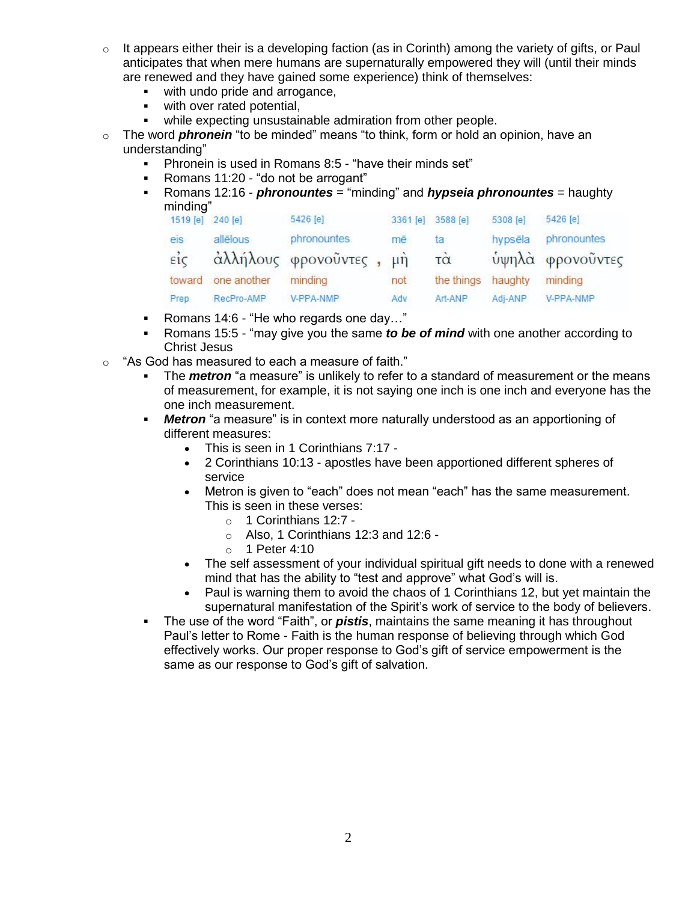- $\circ$  It appears either their is a developing faction (as in Corinth) among the variety of gifts, or Paul anticipates that when mere humans are supernaturally empowered they will (until their minds are renewed and they have gained some experience) think of themselves:
	- **with undo pride and arrogance,**
	- **with over rated potential,**
	- while expecting unsustainable admiration from other people.
- o The word *phronein* "to be minded" means "to think, form or hold an opinion, have an understanding"
	- Phronein is used in Romans 8:5 "have their minds set"
	- Romans 11:20 "do not be arrogant"
	- Romans 12:16 *phronountes* = "minding" and *hypseia phronountes* = haughty minding"

| 1519 [e]           | 240 [e]     | 5426 [e]                | 3361 [e] | 3588 [e]                | 5308 [e] | 5426 [e]         |
|--------------------|-------------|-------------------------|----------|-------------------------|----------|------------------|
| eis                | allēlous    | phronountes             | mē       | ta                      | hypsēla  | phronountes      |
| $\epsilon i \zeta$ |             | άλλήλους φρονοῦντες, μὴ |          | $\overline{\tau\alpha}$ |          | ύψηλά φρονοῦντες |
| toward             | one another | minding                 | not.     | the things              | haughty  | minding          |
| Prep               | RecPro-AMP  | V-PPA-NMP               | Adv      | Art-ANP                 | Adj-ANP  | V-PPA-NMP        |
|                    |             |                         |          |                         |          |                  |

- Romans 14:6 "He who regards one day..."
- Romans 15:5 "may give you the same *to be of mind* with one another according to Christ Jesus
- $\circ$  "As God has measured to each a measure of faith."
	- The *metron* "a measure" is unlikely to refer to a standard of measurement or the means of measurement, for example, it is not saying one inch is one inch and everyone has the one inch measurement.
	- *Metron* "a measure" is in context more naturally understood as an apportioning of different measures:
		- This is seen in 1 Corinthians 7:17 -
		- 2 Corinthians 10:13 apostles have been apportioned different spheres of service
		- Metron is given to "each" does not mean "each" has the same measurement. This is seen in these verses:
			- o 1 Corinthians 12:7 -
			- $\circ$  Also, 1 Corinthians 12:3 and 12:6 -
			- o 1 Peter 4:10
		- The self assessment of your individual spiritual gift needs to done with a renewed mind that has the ability to "test and approve" what God's will is.
		- Paul is warning them to avoid the chaos of 1 Corinthians 12, but yet maintain the supernatural manifestation of the Spirit's work of service to the body of believers.
	- The use of the word "Faith", or *pistis*, maintains the same meaning it has throughout Paul's letter to Rome - Faith is the human response of believing through which God effectively works. Our proper response to God's gift of service empowerment is the same as our response to God's gift of salvation.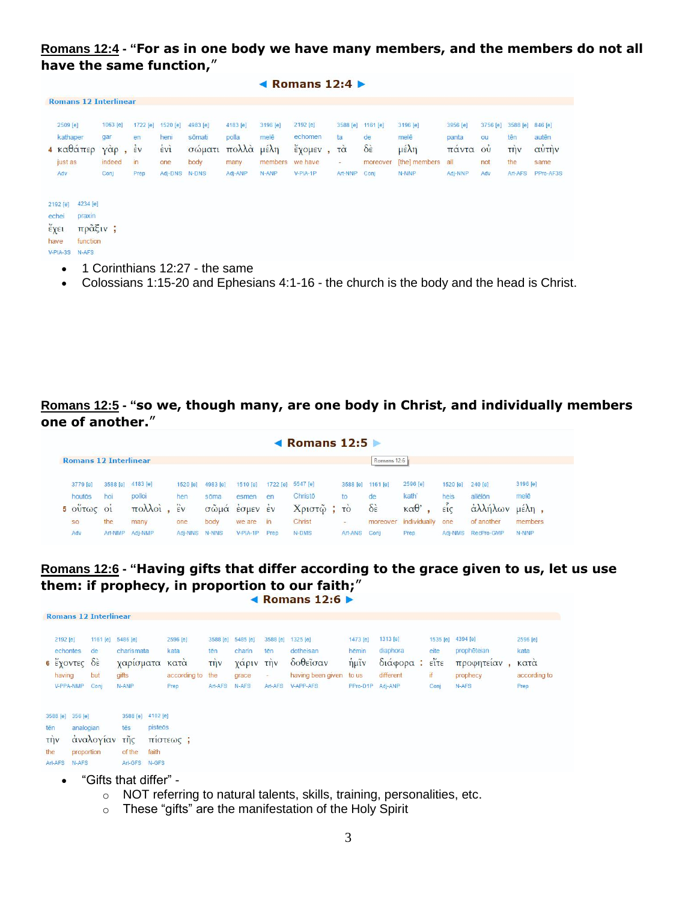#### **Romans 12:4 - "For as in one body we have many members, and the members do not all have the same function,**"

◀ Romans  $12:4$  ▶

|                                               | <b>Romans 12 Interlinear</b>                       |                             |                      |                       |                  |                |                                |                    |                              |                               |                                |                |          |                             |                |
|-----------------------------------------------|----------------------------------------------------|-----------------------------|----------------------|-----------------------|------------------|----------------|--------------------------------|--------------------|------------------------------|-------------------------------|--------------------------------|----------------|----------|-----------------------------|----------------|
|                                               | 2509 [e]                                           | 1063 [e]                    | 1722 [e]             | 1520 [e]              | 4983 [e]         | 4183 [e]       | 3196 [e]                       | 2192 [e]           | 3588 [e]                     | 1161 [e]                      | 3196 [e]                       | 3956 [e]       | 3756 [e] | 3588 [e]                    | 846 [e]        |
|                                               | kathaper<br>$4 \text{ καθάπερ}$                    | gar<br>$\gamma \alpha \rho$ | en<br>$\frac{1}{2}v$ | heni<br>$\frac{1}{2}$ | sōmati<br>σώματι | polla<br>πολλά | melē<br>$\mu \in \lambda \eta$ | echomen<br>έχομεν, | ta<br>$\vec{r} \dot{\alpha}$ | de<br>$\delta \dot{\epsilon}$ | melē<br>$\mu \in \lambda \eta$ | panta<br>πάντα | ou<br>ou | tēn<br>$\overrightarrow{u}$ | autēn<br>αὐτὴν |
| just as                                       |                                                    | indeed                      | $\mathsf{in}$        | one                   | body             | many           | members                        | we have            | $\sim$                       | moreover                      | [the] members                  | all            | not      | the                         | same           |
| Adv                                           |                                                    | Conj                        | Prep                 | Adj-DNS               | N-DNS            | Adj-ANP        | N-ANP                          | V-PIA-1P           | Art-NNP                      | Conj                          | N-NNP                          | Adj-NNP        | Adv      | Art-AFS                     | PPro-AF3S      |
| 2192 [e]<br>echei<br>έχει<br>have<br>V-PIA-3S | 4234 [e]<br>praxin<br>πρᾶξιν;<br>function<br>N-AFS |                             |                      |                       |                  |                |                                |                    |                              |                               |                                |                |          |                             |                |

- 1 Corinthians 12:27 the same
- Colossians 1:15-20 and Ephesians 4:1-16 the church is the body and the head is Christ.

#### **Romans 12:5 - "so we, though many, are one body in Christ, and individually members one of another.**"

|                              |         |                   |                    |          |            |          | $\blacktriangleleft$ Romans 12:5 |             |                         |                        |          |            |                          |
|------------------------------|---------|-------------------|--------------------|----------|------------|----------|----------------------------------|-------------|-------------------------|------------------------|----------|------------|--------------------------|
| <b>Romans 12 Interlinear</b> |         |                   |                    |          |            |          |                                  |             | Romans 12:6             |                        |          |            |                          |
| 3779 [e]                     |         | 3588 [e] 4183 [e] | 1520 [e]           | 4983 [e] | 1510 [e]   | 1722 [e] | 5547 [e]                         |             | 3588 [e] 1161 [e]       | 2596 [e]               | 1520 [e] | $240$ [e]  | 3196 [e]                 |
| houtōs                       | hoi     | polloi            | hen                | sõma     | esmen      | en       | Christō                          | to          | de                      | kath'                  | heis     | allēlōn    | melē                     |
| 5 OUTWC                      | O1      | πολλοί            | $\hat{\epsilon}$ v | σωμα     | EQTIEM     | EV       | Χριστώ                           | $\sqrt{10}$ | $\delta \dot{\epsilon}$ | $\kappa \alpha \theta$ | EIC      | αλλήλων    | $\mu \in \lambda \eta$ , |
| <b>SO</b>                    | the     | many              | one                | body     | we are     | in       | Christ                           | ×           | moreover                | individually           | one      | of another | members                  |
| Adv                          | Art-NMP | Adj-NMP           | Adi-NNS            | N-NNS    | $V-PIA-1P$ | Prep     | N-DMS                            | Art-ANS     | Conj                    | Prep                   | Adj-NMS  | RecPro-GMP | N-NNP                    |

## **Romans 12:6 - "Having gifts that differ according to the grace given to us, let us use them: if prophecy, in proportion to our faith;**"<br>▲ **Romans 12:6**

|                   | 2192 [e]<br>echontes<br>$\frac{2}{3}$ έχοντες δέ<br>having<br>V-PPA-NMP | 1161 [e]<br>de<br>but<br>Conj        | 5486 [e]<br>charismata<br>γαρισματα<br>gifts<br>N-ANP                | 2596 [e]<br>kata<br>κατα<br>according to the<br>Prep | tēn<br>$\overrightarrow{\text{t}}$<br>Art-AFS | 3588 [e] 5485 [e]<br>charin<br>χαριν την<br>grace<br>N-AFS | 3588 [e]<br>tēn<br>÷<br>Art-AFS | 1325 [e]<br>dotheisan<br>δοθεΐσαν<br>having been given<br>V-APP-AFS | 1473 [e]<br>hēmin<br>$\frac{1}{\eta} \mu \tilde{\imath} \nu$<br>to us<br>PPro-D1P Adj-ANP | 1313 [e]<br>diaphora<br>διάφορα: είτε<br>different | eite<br>if<br>Conj | 1535 [e] 4394 [e]<br>prophēteian<br>προφητείαν<br>prophecy<br>N-AFS | 2596 [e]<br>kata<br>κατα<br>according to<br>Prep |
|-------------------|-------------------------------------------------------------------------|--------------------------------------|----------------------------------------------------------------------|------------------------------------------------------|-----------------------------------------------|------------------------------------------------------------|---------------------------------|---------------------------------------------------------------------|-------------------------------------------------------------------------------------------|----------------------------------------------------|--------------------|---------------------------------------------------------------------|--------------------------------------------------|
| tēn<br>τήν<br>the | 3588 [e] 356 [e]<br>Art-AFS<br>N-AFS                                    | analogian<br>αναλογίαν<br>proportion | 3588 [e] 4102 [e]<br>tēs<br>$\tilde{\text{tr}}$<br>of the<br>Art-GFS | pisteōs<br>πιστεως:<br>faith<br>N-GFS                |                                               |                                                            |                                 |                                                                     |                                                                                           |                                                    |                    |                                                                     |                                                  |

"Gifts that differ" -

**Romans 12 Interlinear** 

- o NOT referring to natural talents, skills, training, personalities, etc.
- o These "gifts" are the manifestation of the Holy Spirit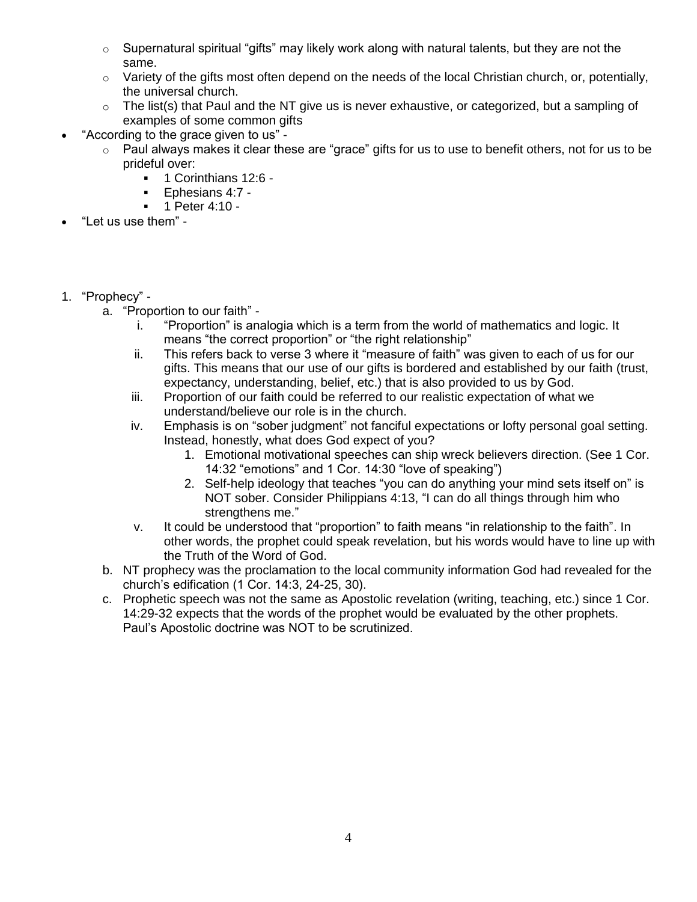- $\circ$  Supernatural spiritual "gifts" may likely work along with natural talents, but they are not the same.
- $\circ$  Variety of the gifts most often depend on the needs of the local Christian church, or, potentially, the universal church.
- $\circ$  The list(s) that Paul and the NT give us is never exhaustive, or categorized, but a sampling of examples of some common gifts
- "According to the grace given to us"
	- $\circ$  Paul always makes it clear these are "grace" gifts for us to use to benefit others, not for us to be prideful over:
		- 1 Corinthians 12:6 -
		- Ephesians  $4:7 1$ <br>Deter  $4:10 1$
		- 1 Peter 4:10 -
- "Let us use them" -
- 1. "Prophecy"
	- a. "Proportion to our faith"
		- i. "Proportion" is analogia which is a term from the world of mathematics and logic. It means "the correct proportion" or "the right relationship"
		- ii. This refers back to verse 3 where it "measure of faith" was given to each of us for our gifts. This means that our use of our gifts is bordered and established by our faith (trust, expectancy, understanding, belief, etc.) that is also provided to us by God.
		- iii. Proportion of our faith could be referred to our realistic expectation of what we understand/believe our role is in the church.
		- iv. Emphasis is on "sober judgment" not fanciful expectations or lofty personal goal setting. Instead, honestly, what does God expect of you?
			- 1. Emotional motivational speeches can ship wreck believers direction. (See 1 Cor. 14:32 "emotions" and 1 Cor. 14:30 "love of speaking")
			- 2. Self-help ideology that teaches "you can do anything your mind sets itself on" is NOT sober. Consider Philippians 4:13, "I can do all things through him who strengthens me."
		- v. It could be understood that "proportion" to faith means "in relationship to the faith". In other words, the prophet could speak revelation, but his words would have to line up with the Truth of the Word of God.
	- b. NT prophecy was the proclamation to the local community information God had revealed for the church's edification (1 Cor. 14:3, 24-25, 30).
	- c. Prophetic speech was not the same as Apostolic revelation (writing, teaching, etc.) since 1 Cor. 14:29-32 expects that the words of the prophet would be evaluated by the other prophets. Paul's Apostolic doctrine was NOT to be scrutinized.